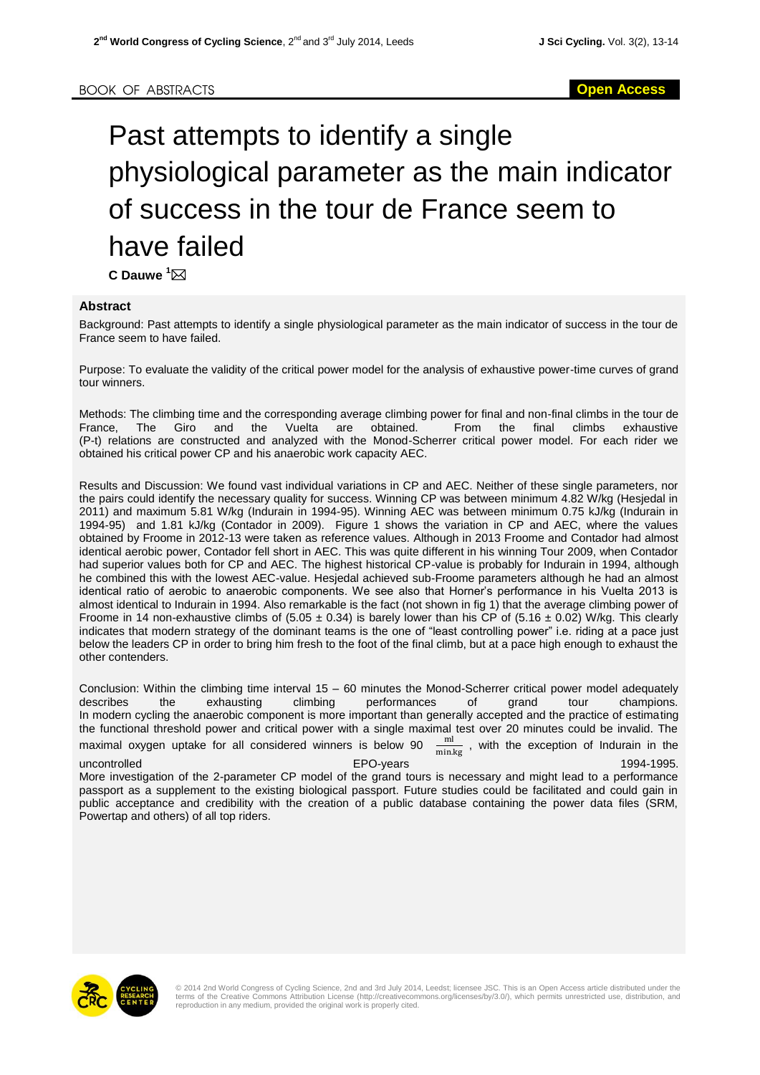## Past attempts to identify a single physiological parameter as the main indicator of success in the tour de France seem to have failed  $C$  **Dauwe**  $\overline{}^1$  $\overline{\bowtie}$

## **Abstract**

Background: Past attempts to identify a single physiological parameter as the main indicator of success in the tour de France seem to have failed.

Purpose: To evaluate the validity of the critical power model for the analysis of exhaustive power-time curves of grand tour winners.

Methods: The climbing time and the corresponding average climbing power for final and non-final climbs in the tour de France, The Giro and the Vuelta are obtained. From the final climbs exhaustive (P-t) relations are constructed and analyzed with the Monod-Scherrer critical power model. For each rider we obtained his critical power CP and his anaerobic work capacity AEC.

Results and Discussion: We found vast individual variations in CP and AEC. Neither of these single parameters, nor the pairs could identify the necessary quality for success. Winning CP was between minimum 4.82 W/kg (Hesjedal in 2011) and maximum 5.81 W/kg (Indurain in 1994-95). Winning AEC was between minimum 0.75 kJ/kg (Indurain in 1994-95) and 1.81 kJ/kg (Contador in 2009). Figure 1 shows the variation in CP and AEC, where the values obtained by Froome in 2012-13 were taken as reference values. Although in 2013 Froome and Contador had almost identical aerobic power, Contador fell short in AEC. This was quite different in his winning Tour 2009, when Contador had superior values both for CP and AEC. The highest historical CP-value is probably for Indurain in 1994, although he combined this with the lowest AEC-value. Hesjedal achieved sub-Froome parameters although he had an almost identical ratio of aerobic to anaerobic components. We see also that Horner's performance in his Vuelta 2013 is almost identical to Indurain in 1994. Also remarkable is the fact (not shown in fig 1) that the average climbing power of Froome in 14 non-exhaustive climbs of (5.05  $\pm$  0.34) is barely lower than his CP of (5.16  $\pm$  0.02) W/kg. This clearly indicates that modern strategy of the dominant teams is the one of "least controlling power" i.e. riding at a pace just below the leaders CP in order to bring him fresh to the foot of the final climb, but at a pace high enough to exhaust the other contenders.

Conclusion: Within the climbing time interval 15 – 60 minutes the Monod-Scherrer critical power model adequately describes the exhausting climbing performances of grand tour champions. In modern cycling the anaerobic component is more important than generally accepted and the practice of estimating the functional threshold power and critical power with a single maximal test over 20 minutes could be invalid. The maximal oxygen uptake for all considered winners is below 90  $\frac{ml}{min.kg}$ , with the exception of Indurain in the uncontrolled EPO-years 1994-1995. More investigation of the 2-parameter CP model of the grand tours is necessary and might lead to a performance passport as a supplement to the existing biological passport. Future studies could be facilitated and could gain in

public acceptance and credibility with the creation of a public database containing the power data files (SRM, Powertap and others) of all top riders.



© 2014 2nd World Congress of Cycling Science, 2nd and 3rd July 2014, Leedst; licensee JSC. This is an Open Access article distributed under the<br>terms of the Creative Commons Attribution License (http://creativecommons.org/ reproduction in any medium, provided the original work is properly cited.